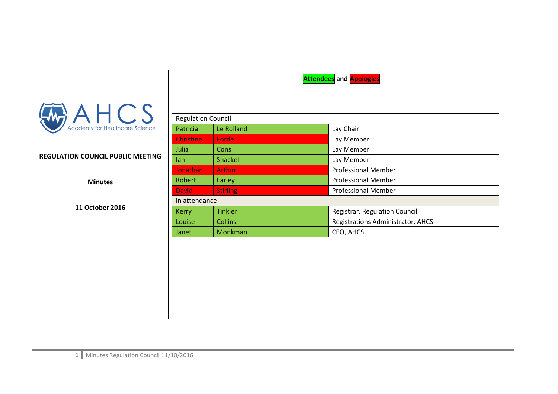|                                             | <b>Attendees</b> and <b>Apologies</b> |                 |                                   |  |
|---------------------------------------------|---------------------------------------|-----------------|-----------------------------------|--|
| $A \nightharpoonup$ $A \nightharpoonup$ $S$ |                                       |                 |                                   |  |
|                                             | <b>Regulation Council</b>             |                 |                                   |  |
|                                             | Patricia                              | Le Rolland      | Lay Chair                         |  |
|                                             | <b>Christine</b>                      | Forde           | Lay Member                        |  |
|                                             | Julia                                 | Cons            | Lay Member                        |  |
| <b>REGULATION COUNCIL PUBLIC MEETING</b>    | lan                                   | Shackell        | Lay Member                        |  |
|                                             | <b>Jonathan</b>                       | <b>Arthur</b>   | <b>Professional Member</b>        |  |
| <b>Minutes</b>                              | Robert                                | Farley          | <b>Professional Member</b>        |  |
|                                             | <b>David</b>                          | <b>Stirling</b> | <b>Professional Member</b>        |  |
|                                             | In attendance                         |                 |                                   |  |
| 11 October 2016                             | <b>Kerry</b>                          | <b>Tinkler</b>  | Registrar, Regulation Council     |  |
|                                             | Louise                                | <b>Collins</b>  | Registrations Administrator, AHCS |  |
|                                             | Janet                                 | Monkman         | CEO, AHCS                         |  |
|                                             |                                       |                 |                                   |  |
|                                             |                                       |                 |                                   |  |
|                                             |                                       |                 |                                   |  |
|                                             |                                       |                 |                                   |  |
|                                             |                                       |                 |                                   |  |
|                                             |                                       |                 |                                   |  |
|                                             |                                       |                 |                                   |  |
|                                             |                                       |                 |                                   |  |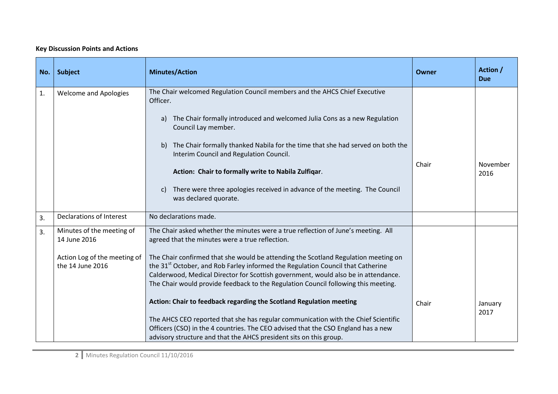## **Key Discussion Points and Actions**

| No. | <b>Subject</b>                                                                                | <b>Minutes/Action</b>                                                                                                                                                                                                                                                                                                                                                                                                                                                                                 | Owner | Action /<br><b>Due</b> |
|-----|-----------------------------------------------------------------------------------------------|-------------------------------------------------------------------------------------------------------------------------------------------------------------------------------------------------------------------------------------------------------------------------------------------------------------------------------------------------------------------------------------------------------------------------------------------------------------------------------------------------------|-------|------------------------|
| 1.  | <b>Welcome and Apologies</b>                                                                  | The Chair welcomed Regulation Council members and the AHCS Chief Executive<br>Officer.<br>The Chair formally introduced and welcomed Julia Cons as a new Regulation<br>a)<br>Council Lay member.<br>The Chair formally thanked Nabila for the time that she had served on both the<br>b)<br>Interim Council and Regulation Council.<br>Action: Chair to formally write to Nabila Zulfiqar.<br>There were three apologies received in advance of the meeting. The Council<br>c)                        | Chair | November<br>2016       |
|     |                                                                                               | was declared quorate.                                                                                                                                                                                                                                                                                                                                                                                                                                                                                 |       |                        |
| 3.  | <b>Declarations of Interest</b>                                                               | No declarations made.                                                                                                                                                                                                                                                                                                                                                                                                                                                                                 |       |                        |
| 3.  | Minutes of the meeting of<br>14 June 2016<br>Action Log of the meeting of<br>the 14 June 2016 | The Chair asked whether the minutes were a true reflection of June's meeting. All<br>agreed that the minutes were a true reflection.<br>The Chair confirmed that she would be attending the Scotland Regulation meeting on<br>the 31 <sup>st</sup> October, and Rob Farley informed the Regulation Council that Catherine<br>Calderwood, Medical Director for Scottish government, would also be in attendance.<br>The Chair would provide feedback to the Regulation Council following this meeting. |       |                        |
|     |                                                                                               | Action: Chair to feedback regarding the Scotland Regulation meeting<br>The AHCS CEO reported that she has regular communication with the Chief Scientific<br>Officers (CSO) in the 4 countries. The CEO advised that the CSO England has a new<br>advisory structure and that the AHCS president sits on this group.                                                                                                                                                                                  | Chair | January<br>2017        |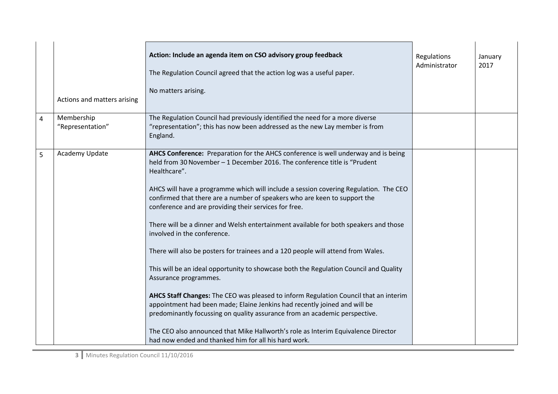|                | Actions and matters arising    | Action: Include an agenda item on CSO advisory group feedback<br>The Regulation Council agreed that the action log was a useful paper.<br>No matters arising.                                                                                                                                                                                                                                                                                                                                                                                                                                                                                                                                                                                                                                                                                                                                                                                                                                                                                                                                                                              | Regulations<br>Administrator | January<br>2017 |
|----------------|--------------------------------|--------------------------------------------------------------------------------------------------------------------------------------------------------------------------------------------------------------------------------------------------------------------------------------------------------------------------------------------------------------------------------------------------------------------------------------------------------------------------------------------------------------------------------------------------------------------------------------------------------------------------------------------------------------------------------------------------------------------------------------------------------------------------------------------------------------------------------------------------------------------------------------------------------------------------------------------------------------------------------------------------------------------------------------------------------------------------------------------------------------------------------------------|------------------------------|-----------------|
| $\overline{4}$ | Membership<br>"Representation" | The Regulation Council had previously identified the need for a more diverse<br>"representation"; this has now been addressed as the new Lay member is from<br>England.                                                                                                                                                                                                                                                                                                                                                                                                                                                                                                                                                                                                                                                                                                                                                                                                                                                                                                                                                                    |                              |                 |
| 5              | Academy Update                 | AHCS Conference: Preparation for the AHCS conference is well underway and is being<br>held from 30 November - 1 December 2016. The conference title is "Prudent<br>Healthcare".<br>AHCS will have a programme which will include a session covering Regulation. The CEO<br>confirmed that there are a number of speakers who are keen to support the<br>conference and are providing their services for free.<br>There will be a dinner and Welsh entertainment available for both speakers and those<br>involved in the conference.<br>There will also be posters for trainees and a 120 people will attend from Wales.<br>This will be an ideal opportunity to showcase both the Regulation Council and Quality<br>Assurance programmes.<br>AHCS Staff Changes: The CEO was pleased to inform Regulation Council that an interim<br>appointment had been made; Elaine Jenkins had recently joined and will be<br>predominantly focussing on quality assurance from an academic perspective.<br>The CEO also announced that Mike Hallworth's role as Interim Equivalence Director<br>had now ended and thanked him for all his hard work. |                              |                 |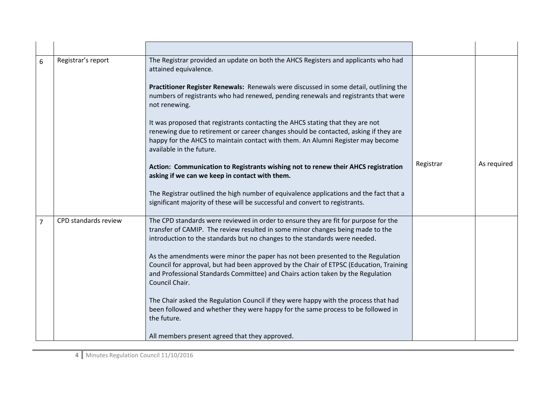| 6              | Registrar's report   | The Registrar provided an update on both the AHCS Registers and applicants who had<br>attained equivalence.                                                                                                                                                                           |           |             |
|----------------|----------------------|---------------------------------------------------------------------------------------------------------------------------------------------------------------------------------------------------------------------------------------------------------------------------------------|-----------|-------------|
|                |                      | Practitioner Register Renewals: Renewals were discussed in some detail, outlining the<br>numbers of registrants who had renewed, pending renewals and registrants that were<br>not renewing.                                                                                          |           |             |
|                |                      | It was proposed that registrants contacting the AHCS stating that they are not<br>renewing due to retirement or career changes should be contacted, asking if they are<br>happy for the AHCS to maintain contact with them. An Alumni Register may become<br>available in the future. |           |             |
|                |                      | Action: Communication to Registrants wishing not to renew their AHCS registration<br>asking if we can we keep in contact with them.                                                                                                                                                   | Registrar | As required |
|                |                      | The Registrar outlined the high number of equivalence applications and the fact that a<br>significant majority of these will be successful and convert to registrants.                                                                                                                |           |             |
| $\overline{7}$ | CPD standards review | The CPD standards were reviewed in order to ensure they are fit for purpose for the<br>transfer of CAMIP. The review resulted in some minor changes being made to the<br>introduction to the standards but no changes to the standards were needed.                                   |           |             |
|                |                      | As the amendments were minor the paper has not been presented to the Regulation<br>Council for approval, but had been approved by the Chair of ETPSC (Education, Training<br>and Professional Standards Committee) and Chairs action taken by the Regulation<br>Council Chair.        |           |             |
|                |                      | The Chair asked the Regulation Council if they were happy with the process that had<br>been followed and whether they were happy for the same process to be followed in<br>the future.                                                                                                |           |             |
|                |                      | All members present agreed that they approved.                                                                                                                                                                                                                                        |           |             |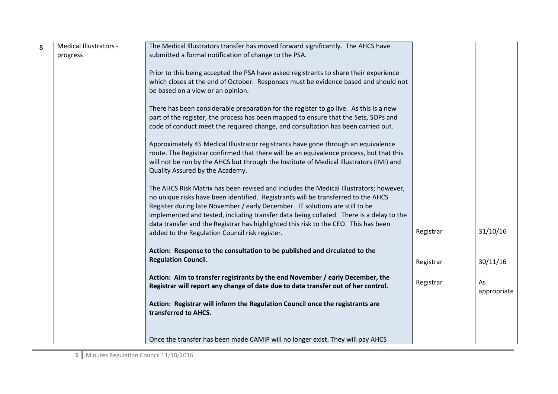| 8 | Medical Illustrators -<br>progress | The Medical Illustrators transfer has moved forward significantly. The AHCS have<br>submitted a formal notification of change to the PSA.                                                                                                                                                                                                                                                                                                                                                      |           |                   |
|---|------------------------------------|------------------------------------------------------------------------------------------------------------------------------------------------------------------------------------------------------------------------------------------------------------------------------------------------------------------------------------------------------------------------------------------------------------------------------------------------------------------------------------------------|-----------|-------------------|
|   |                                    | Prior to this being accepted the PSA have asked registrants to share their experience<br>which closes at the end of October. Responses must be evidence based and should not<br>be based on a view or an opinion.                                                                                                                                                                                                                                                                              |           |                   |
|   |                                    | There has been considerable preparation for the register to go live. As this is a new<br>part of the register, the process has been mapped to ensure that the Sets, SOPs and<br>code of conduct meet the required change, and consultation has been carried out.                                                                                                                                                                                                                               |           |                   |
|   |                                    | Approximately 45 Medical Illustrator registrants have gone through an equivalence<br>route. The Registrar confirmed that there will be an equivalence process, but that this<br>will not be run by the AHCS but through the Institute of Medical Illustrators (IMI) and<br>Quality Assured by the Academy.                                                                                                                                                                                     |           |                   |
|   |                                    | The AHCS Risk Matrix has been revised and includes the Medical Illustrators; however,<br>no unique risks have been identified. Registrants will be transferred to the AHCS<br>Register during late November / early December. IT solutions are still to be<br>implemented and tested, including transfer data being collated. There is a delay to the<br>data transfer and the Registrar has highlighted this risk to the CEO. This has been<br>added to the Regulation Council risk register. | Registrar | 31/10/16          |
|   |                                    | Action: Response to the consultation to be published and circulated to the<br><b>Regulation Council.</b>                                                                                                                                                                                                                                                                                                                                                                                       | Registrar | 30/11/16          |
|   |                                    | Action: Aim to transfer registrants by the end November / early December, the<br>Registrar will report any change of date due to data transfer out of her control.                                                                                                                                                                                                                                                                                                                             | Registrar | As<br>appropriate |
|   |                                    | Action: Registrar will inform the Regulation Council once the registrants are<br>transferred to AHCS.                                                                                                                                                                                                                                                                                                                                                                                          |           |                   |
|   |                                    | Once the transfer has been made CAMIP will no longer exist. They will pay AHCS                                                                                                                                                                                                                                                                                                                                                                                                                 |           |                   |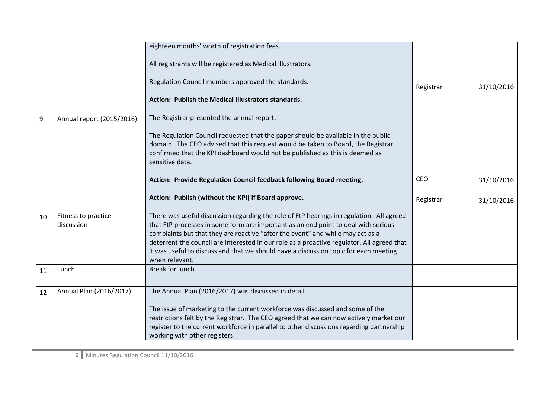|    |                           | eighteen months' worth of registration fees.                                                                                                                                                                                                                             |            |            |
|----|---------------------------|--------------------------------------------------------------------------------------------------------------------------------------------------------------------------------------------------------------------------------------------------------------------------|------------|------------|
|    |                           | All registrants will be registered as Medical Illustrators.                                                                                                                                                                                                              |            |            |
|    |                           | Regulation Council members approved the standards.                                                                                                                                                                                                                       | Registrar  | 31/10/2016 |
|    |                           | Action: Publish the Medical Illustrators standards.                                                                                                                                                                                                                      |            |            |
| 9  | Annual report (2015/2016) | The Registrar presented the annual report.                                                                                                                                                                                                                               |            |            |
|    |                           | The Regulation Council requested that the paper should be available in the public<br>domain. The CEO advised that this request would be taken to Board, the Registrar<br>confirmed that the KPI dashboard would not be published as this is deemed as<br>sensitive data. |            |            |
|    |                           | Action: Provide Regulation Council feedback following Board meeting.                                                                                                                                                                                                     | <b>CEO</b> | 31/10/2016 |
|    |                           | Action: Publish (without the KPI) if Board approve.                                                                                                                                                                                                                      | Registrar  | 31/10/2016 |
| 10 | Fitness to practice       | There was useful discussion regarding the role of FtP hearings in regulation. All agreed                                                                                                                                                                                 |            |            |
|    | discussion                | that FtP processes in some form are important as an end point to deal with serious<br>complaints but that they are reactive "after the event" and while may act as a                                                                                                     |            |            |
|    |                           | deterrent the council are interested in our role as a proactive regulator. All agreed that                                                                                                                                                                               |            |            |
|    |                           | it was useful to discuss and that we should have a discussion topic for each meeting<br>when relevant.                                                                                                                                                                   |            |            |
| 11 | Lunch                     | Break for lunch.                                                                                                                                                                                                                                                         |            |            |
|    |                           |                                                                                                                                                                                                                                                                          |            |            |
| 12 | Annual Plan (2016/2017)   | The Annual Plan (2016/2017) was discussed in detail.                                                                                                                                                                                                                     |            |            |
|    |                           | The issue of marketing to the current workforce was discussed and some of the                                                                                                                                                                                            |            |            |
|    |                           | restrictions felt by the Registrar. The CEO agreed that we can now actively market our                                                                                                                                                                                   |            |            |
|    |                           | register to the current workforce in parallel to other discussions regarding partnership                                                                                                                                                                                 |            |            |
|    |                           | working with other registers.                                                                                                                                                                                                                                            |            |            |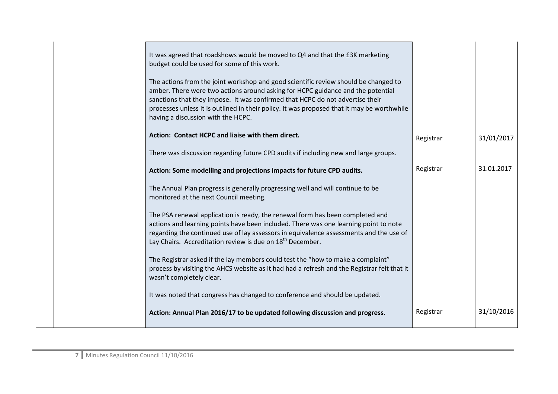| It was agreed that roadshows would be moved to Q4 and that the £3K marketing<br>budget could be used for some of this work.                                                                                                                                                                                                                                                                 |           |            |
|---------------------------------------------------------------------------------------------------------------------------------------------------------------------------------------------------------------------------------------------------------------------------------------------------------------------------------------------------------------------------------------------|-----------|------------|
| The actions from the joint workshop and good scientific review should be changed to<br>amber. There were two actions around asking for HCPC guidance and the potential<br>sanctions that they impose. It was confirmed that HCPC do not advertise their<br>processes unless it is outlined in their policy. It was proposed that it may be worthwhile<br>having a discussion with the HCPC. |           |            |
| Action: Contact HCPC and liaise with them direct.                                                                                                                                                                                                                                                                                                                                           | Registrar | 31/01/2017 |
| There was discussion regarding future CPD audits if including new and large groups.                                                                                                                                                                                                                                                                                                         |           |            |
| Action: Some modelling and projections impacts for future CPD audits.                                                                                                                                                                                                                                                                                                                       | Registrar | 31.01.2017 |
| The Annual Plan progress is generally progressing well and will continue to be<br>monitored at the next Council meeting.                                                                                                                                                                                                                                                                    |           |            |
| The PSA renewal application is ready, the renewal form has been completed and<br>actions and learning points have been included. There was one learning point to note<br>regarding the continued use of lay assessors in equivalence assessments and the use of<br>Lay Chairs. Accreditation review is due on 18 <sup>th</sup> December.                                                    |           |            |
| The Registrar asked if the lay members could test the "how to make a complaint"<br>process by visiting the AHCS website as it had had a refresh and the Registrar felt that it<br>wasn't completely clear.                                                                                                                                                                                  |           |            |
| It was noted that congress has changed to conference and should be updated.                                                                                                                                                                                                                                                                                                                 |           |            |
| Action: Annual Plan 2016/17 to be updated following discussion and progress.                                                                                                                                                                                                                                                                                                                | Registrar | 31/10/2016 |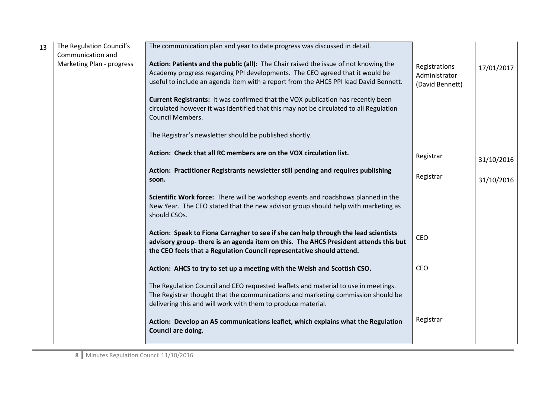| 13 | The Regulation Council's<br>Communication and | The communication plan and year to date progress was discussed in detail.                                                                                                                                                                                    |                                                   |            |
|----|-----------------------------------------------|--------------------------------------------------------------------------------------------------------------------------------------------------------------------------------------------------------------------------------------------------------------|---------------------------------------------------|------------|
|    | Marketing Plan - progress                     | Action: Patients and the public (all): The Chair raised the issue of not knowing the<br>Academy progress regarding PPI developments. The CEO agreed that it would be<br>useful to include an agenda item with a report from the AHCS PPI lead David Bennett. | Registrations<br>Administrator<br>(David Bennett) | 17/01/2017 |
|    |                                               | Current Registrants: It was confirmed that the VOX publication has recently been<br>circulated however it was identified that this may not be circulated to all Regulation<br><b>Council Members.</b>                                                        |                                                   |            |
|    |                                               | The Registrar's newsletter should be published shortly.                                                                                                                                                                                                      |                                                   |            |
|    |                                               | Action: Check that all RC members are on the VOX circulation list.                                                                                                                                                                                           | Registrar                                         | 31/10/2016 |
|    |                                               | Action: Practitioner Registrants newsletter still pending and requires publishing<br>soon.                                                                                                                                                                   | Registrar                                         | 31/10/2016 |
|    |                                               | Scientific Work force: There will be workshop events and roadshows planned in the<br>New Year. The CEO stated that the new advisor group should help with marketing as<br>should CSOs.                                                                       |                                                   |            |
|    |                                               | Action: Speak to Fiona Carragher to see if she can help through the lead scientists<br>advisory group- there is an agenda item on this. The AHCS President attends this but<br>the CEO feels that a Regulation Council representative should attend.         | CEO                                               |            |
|    |                                               | Action: AHCS to try to set up a meeting with the Welsh and Scottish CSO.                                                                                                                                                                                     | CEO                                               |            |
|    |                                               | The Regulation Council and CEO requested leaflets and material to use in meetings.<br>The Registrar thought that the communications and marketing commission should be<br>delivering this and will work with them to produce material.                       |                                                   |            |
|    |                                               | Action: Develop an A5 communications leaflet, which explains what the Regulation<br>Council are doing.                                                                                                                                                       | Registrar                                         |            |